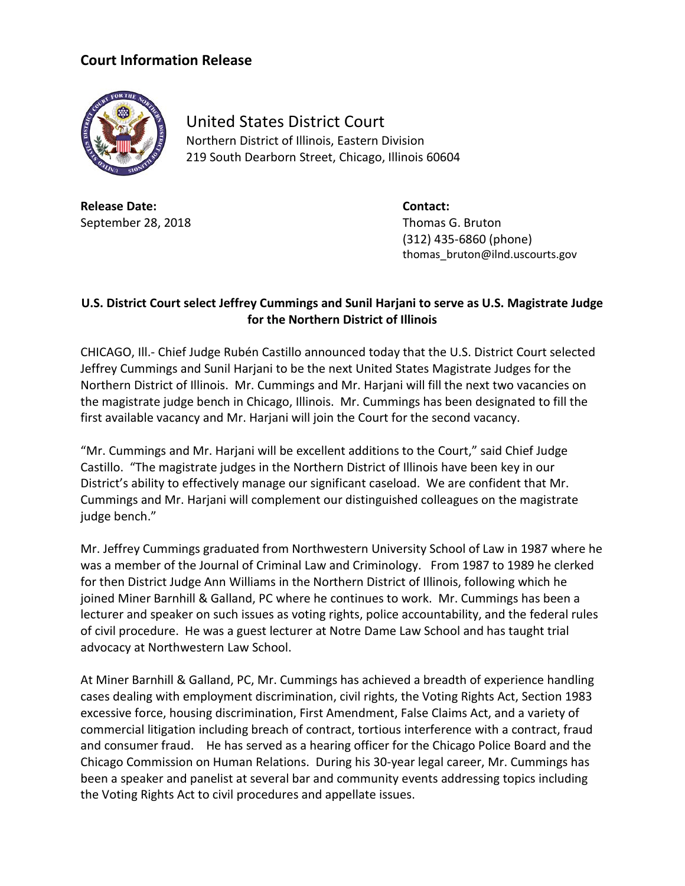## **Court Information Release**



United States District Court Northern District of Illinois, Eastern Division 219 South Dearborn Street, Chicago, Illinois 60604

**Release Date: Contact:** September 28, 2018 **Thomas G. Bruton** 

(312) 435-6860 (phone) thomas\_bruton@ilnd.uscourts.gov

## **U.S. District Court select Jeffrey Cummings and Sunil Harjani to serve as U.S. Magistrate Judge for the Northern District of Illinois**

CHICAGO, Ill.- Chief Judge Rubén Castillo announced today that the U.S. District Court selected Jeffrey Cummings and Sunil Harjani to be the next United States Magistrate Judges for the Northern District of Illinois. Mr. Cummings and Mr. Harjani will fill the next two vacancies on the magistrate judge bench in Chicago, Illinois. Mr. Cummings has been designated to fill the first available vacancy and Mr. Harjani will join the Court for the second vacancy.

"Mr. Cummings and Mr. Harjani will be excellent additions to the Court," said Chief Judge Castillo. "The magistrate judges in the Northern District of Illinois have been key in our District's ability to effectively manage our significant caseload. We are confident that Mr. Cummings and Mr. Harjani will complement our distinguished colleagues on the magistrate judge bench."

Mr. Jeffrey Cummings graduated from Northwestern University School of Law in 1987 where he was a member of the Journal of Criminal Law and Criminology. From 1987 to 1989 he clerked for then District Judge Ann Williams in the Northern District of Illinois, following which he joined Miner Barnhill & Galland, PC where he continues to work. Mr. Cummings has been a lecturer and speaker on such issues as voting rights, police accountability, and the federal rules of civil procedure. He was a guest lecturer at Notre Dame Law School and has taught trial advocacy at Northwestern Law School.

At Miner Barnhill & Galland, PC, Mr. Cummings has achieved a breadth of experience handling cases dealing with employment discrimination, civil rights, the Voting Rights Act, Section 1983 excessive force, housing discrimination, First Amendment, False Claims Act, and a variety of commercial litigation including breach of contract, tortious interference with a contract, fraud and consumer fraud. He has served as a hearing officer for the Chicago Police Board and the Chicago Commission on Human Relations. During his 30-year legal career, Mr. Cummings has been a speaker and panelist at several bar and community events addressing topics including the Voting Rights Act to civil procedures and appellate issues.